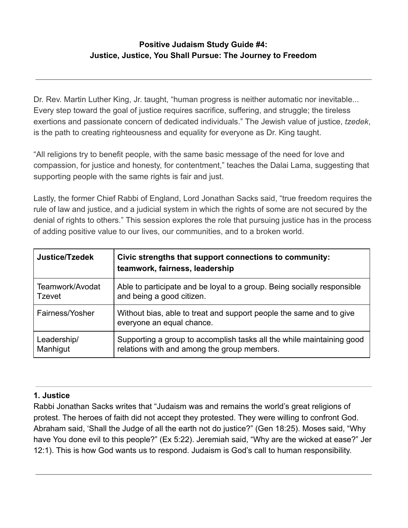# **Positive Judaism Study Guide #4: Justice, Justice, You Shall Pursue: The Journey to Freedom**

Dr. Rev. Martin Luther King, Jr. taught, "human progress is neither automatic nor inevitable... Every step toward the goal of justice requires sacrifice, suffering, and struggle; the tireless exertions and passionate concern of dedicated individuals." The Jewish value of justice, *tzedek* , is the path to creating righteousness and equality for everyone as Dr. King taught.

"All religions try to benefit people, with the same basic message of the need for love and compassion, for justice and honesty, for contentment," teaches the Dalai Lama, suggesting that supporting people with the same rights is fair and just.

Lastly, the former Chief Rabbi of England, Lord Jonathan Sacks said, "true freedom requires the rule of law and justice, and a judicial system in which the rights of some are not secured by the denial of rights to others." This session explores the role that pursuing justice has in the process of adding positive value to our lives, our communities, and to a broken world.

| Justice/Tzedek  | Civic strengths that support connections to community:<br>teamwork, fairness, leadership         |
|-----------------|--------------------------------------------------------------------------------------------------|
| Teamwork/Avodat | Able to participate and be loyal to a group. Being socially responsible                          |
| <b>Tzevet</b>   | and being a good citizen.                                                                        |
| Fairness/Yosher | Without bias, able to treat and support people the same and to give<br>everyone an equal chance. |
| Leadership/     | Supporting a group to accomplish tasks all the while maintaining good                            |
| Manhigut        | relations with and among the group members.                                                      |

## **1. Justice**

Rabbi Jonathan Sacks writes that "Judaism was and remains the world's great religions of protest. The heroes of faith did not accept they protested. They were willing to confront God. Abraham said, 'Shall the Judge of all the earth not do justice?" (Gen 18:25). Moses said, "Why have You done evil to this people?" (Ex 5:22). Jeremiah said, "Why are the wicked at ease?" Jer 12:1). This is how God wants us to respond. Judaism is God's call to human responsibility.